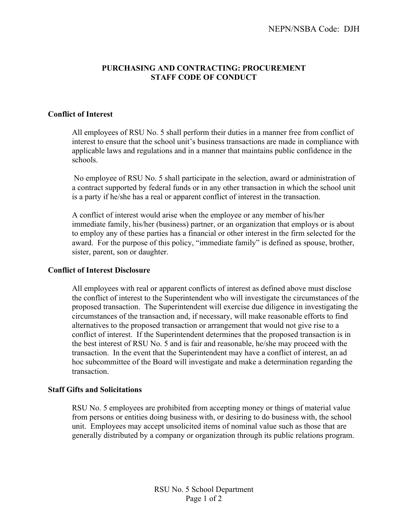## **PURCHASING AND CONTRACTING: PROCUREMENT STAFF CODE OF CONDUCT**

### **Conflict of Interest**

All employees of RSU No. 5 shall perform their duties in a manner free from conflict of interest to ensure that the school unit's business transactions are made in compliance with applicable laws and regulations and in a manner that maintains public confidence in the schools.

No employee of RSU No. 5 shall participate in the selection, award or administration of a contract supported by federal funds or in any other transaction in which the school unit is a party if he/she has a real or apparent conflict of interest in the transaction.

A conflict of interest would arise when the employee or any member of his/her immediate family, his/her (business) partner, or an organization that employs or is about to employ any of these parties has a financial or other interest in the firm selected for the award. For the purpose of this policy, "immediate family" is defined as spouse, brother, sister, parent, son or daughter.

#### **Conflict of Interest Disclosure**

All employees with real or apparent conflicts of interest as defined above must disclose the conflict of interest to the Superintendent who will investigate the circumstances of the proposed transaction. The Superintendent will exercise due diligence in investigating the circumstances of the transaction and, if necessary, will make reasonable efforts to find alternatives to the proposed transaction or arrangement that would not give rise to a conflict of interest. If the Superintendent determines that the proposed transaction is in the best interest of RSU No. 5 and is fair and reasonable, he/she may proceed with the transaction. In the event that the Superintendent may have a conflict of interest, an ad hoc subcommittee of the Board will investigate and make a determination regarding the transaction.

#### **Staff Gifts and Solicitations**

RSU No. 5 employees are prohibited from accepting money or things of material value from persons or entities doing business with, or desiring to do business with, the school unit. Employees may accept unsolicited items of nominal value such as those that are generally distributed by a company or organization through its public relations program.